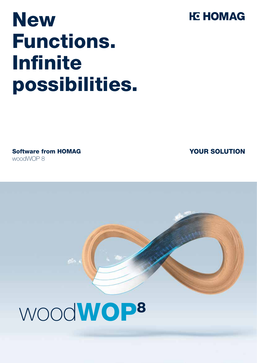# **New** Functions. **Infinite** possibilities.

Software from HOMAG woodWOP 8

## YOUR SOLUTION

# woodWOP8

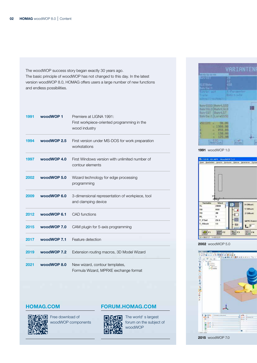The woodWOP success story began exactly 30 years ago. The basic principle of woodWOP has not changed to this day. In the latest version woodWOP 8.0, HOMAG offers users a large number of new functions and endless possibilities.

| 1991 | woodWOP1               | Premiere at LIGNA 1991:<br>First workpiece-oriented programming in the<br>wood industry |
|------|------------------------|-----------------------------------------------------------------------------------------|
| 1994 | woodWOP 2.5            | First version under MS-DOS for work preparation<br>workstations                         |
| 1997 | woodWOP 4.0            | First Windows version with unlimited number of<br>contour elements                      |
| 2002 | woodWOP 5.0            | Wizard technology for edge processing<br>programming                                    |
| 2009 | woodWOP <sub>6.0</sub> | 3-dimensional representation of workpiece, tool<br>and clamping device                  |
| 2012 | woodWOP 6.1            | CAD functions                                                                           |
| 2015 | woodWOP 7.0            | CAM plugin for 5-axis programming                                                       |
| 2017 | woodWOP 7.1            | Feature detection                                                                       |
| 2019 | woodWOP 7.2            | Extension routing macros, 3D Model Wizard                                               |
| 2021 | woodWOP 8.0            | New wizard, contour templates,<br>Formula Wizard, MPRXE exchange format                 |



Free download of woodWOP components

#### HOMAG.COM FORUM.HOMAG.COM



The world' s largest forum on the subject of woodWOP



1991 woodWOP 1.0



2002 woodWOP 5.0

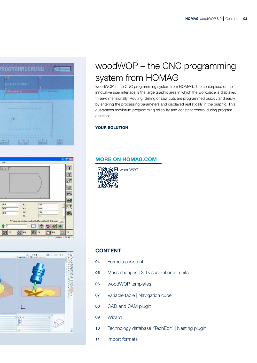





## woodWOP – the CNC programming system from HOMAG

woodWOP is the CNC programming system from HOMAG. The centerpiece of the innovative user interface is the large graphic area in which the workpiece is displayed three-dimensionally. Routing, drilling or saw cuts are programmed quickly and easily by entering the processing parameters and displayed realistically in the graphic. This guarantees maximum programming reliability and constant control during program creation.

#### YOUR SOLUTION

#### MORE ON HOMAG.COM



#### CONTENT

- 04 Formula assistant
- 05 Mass changes | 3D visualization of units
- 06 woodWOP templates
- **07** Variable table | Navigation cube
- **08** CAD and CAM plugin
- 09 Wizard
- 10 Technology database "TechEdit" | Nesting plugin
- 11 Import formats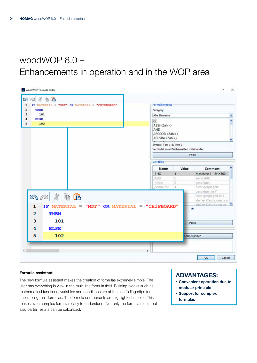## woodWOP 8.0 – Enhancements in operation and in the WOP area

| $\mathbf{A} \otimes \mathbf{A}$<br>IF MATERIAL = "MDF" OR MATERIAL = "CHIPBOARD"<br>1 | Formelelemente                                                                                                             |
|---------------------------------------------------------------------------------------|----------------------------------------------------------------------------------------------------------------------------|
| $\overline{\mathbf{2}}$<br>THEN                                                       | Category                                                                                                                   |
| 3<br>101                                                                              | ×.<br>Alle Elemente                                                                                                        |
| <b>ELSE</b><br>4<br>5<br>102                                                          | Ä<br>$\alpha$<br>ABS( <zahl>)<br/><b>AND</b><br/>ARCCOS(<zahl>)<br/>ARCSIN(<zahl>)<br/>LAMBLLIC M.L.L</zahl></zahl></zahl> |
|                                                                                       | Syntax: Text 1 & Text 2<br>Verbindet zwei Zeichenketten miteinander                                                        |
|                                                                                       | Paste                                                                                                                      |
|                                                                                       | Variables                                                                                                                  |
|                                                                                       | ۸<br><b>Name</b><br>Value<br>Comment                                                                                       |
|                                                                                       | BHX<br>Maschine 1 - BHX500<br>$\mathbf{1}$                                                                                 |
|                                                                                       | ABD<br>10<br>keine ABD<br>O<br>mirror<br>gespiegelt                                                                        |
|                                                                                       | $\mathbb{I}$<br>nicht gespiegelt<br>nonmirror                                                                              |
| 内心水白色<br>IF MATERIAL = "MDF" OR MATERIAL = "CHIPBOARD"<br>1                           | gespiegelt in Y<br>nicht gespiegelt in Y<br>kleiner Kreisbogen ccw<br>kleiner Kreisbogen cw                                |
|                                                                                       |                                                                                                                            |
| 2<br><b>THEN</b><br>101                                                               | Paste                                                                                                                      |
| 3                                                                                     |                                                                                                                            |
| 4<br><b>ELSE</b><br>5<br>102                                                          | Formel prüfen                                                                                                              |

#### Formula assistant

The new formula assistant makes the creation of formulas extremely simple. The user has everything in view in the multi-line formula field. Building blocks such as mathematical functions, variables and conditions are at the user's fingertips for assembling their formulas. The formula components are highlighted in color. This makes even complex formulas easy to understand. Not only the formula result, but also partial results can be calculated.

- · Convenient operation due to modular principle
- · Support for complex formulas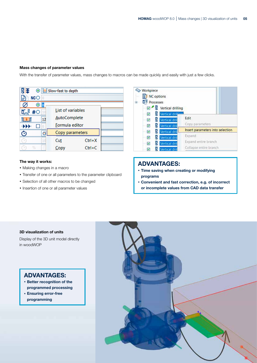#### Mass changes of parameter values

With the transfer of parameter values, mass changes to macros can be made quickly and easily with just a few clicks.

|                     | Slow-fast to depth       |            |  |  |  |  |  |  |
|---------------------|--------------------------|------------|--|--|--|--|--|--|
| NCO                 |                          |            |  |  |  |  |  |  |
| $\overline{8}$<br>◉ |                          |            |  |  |  |  |  |  |
| #O<br>10            | <b>List of variables</b> |            |  |  |  |  |  |  |
| 12                  | <b>AutoComplete</b>      |            |  |  |  |  |  |  |
| Formula editor      |                          |            |  |  |  |  |  |  |
| Э<br>ە              | Copy parameters          |            |  |  |  |  |  |  |
| 10                  | Cut                      | $Ctrl+X$   |  |  |  |  |  |  |
| %                   | Copy                     | $Ctrl + C$ |  |  |  |  |  |  |

#### The way it works:

- · Making changes in a macro
- · Transfer of one or all parameters to the parameter clipboard
- · Selection of all other macros to be changed
- · Insertion of one or all parameter values



### ADVANTAGES:

- · Time saving when creating or modifying programs
- · Convenient and fast correction, e.g. of incorrect or incomplete values from CAD data transfer

#### 3D visualization of units

Display of the 3D unit model directly in woodWOP

- · Better recognition of the programmed processing
- · Ensuring error-free programming

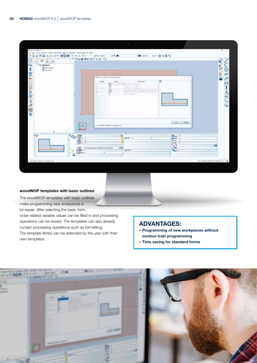| ¢.<br>呼吸声                                                        | はび目の は で ● ◎ ◎ W + > → D - 2 = news | $-2$                                                                                                                                                                                                                              | ■ 日号图 名<br>SE Prom layer                                                                          |                                                           | Py                                 |
|------------------------------------------------------------------|-------------------------------------|-----------------------------------------------------------------------------------------------------------------------------------------------------------------------------------------------------------------------------------|---------------------------------------------------------------------------------------------------|-----------------------------------------------------------|------------------------------------|
| $ <$ Weights<br>To NC notions<br><b>D</b> <sup>5</sup> Processes |                                     | They have increased through a distinction<br>Virtue:<br><b>Name</b><br>$rac{1600}{600}$<br>Lancesco et al. 2 5 Antigat de 30.<br>WARLETT-WANTED<br>irs.<br>Technic of Chinese I<br>300<br>(200)<br>w<br><b>Partick J. Parties</b> | i2<br>Commant<br>begin put are initialized new beach-<br>With trial side is TC from which have to | ×                                                         | M<br>$\overline{\mathcal{S}}$<br>酱 |
|                                                                  |                                     |                                                                                                                                                                                                                                   |                                                                                                   |                                                           |                                    |
| ۰<br>$E_{D}$                                                     | <b>Ing</b>                          | 1-800-800; Length In X (  Linge III X<br>×<br>西.<br>400 +                                                                                                                                                                         | ×                                                                                                 | <b>CHANGE</b><br>體體<br>tue i<br>$\mathbb{C}^{\mathbb{Z}}$ |                                    |

#### woodWOP templates with basic outlines

The woodWOP templates with basic outlines make programming new workpieces a lot easier. After selecting the basic form,

order-related variable values can be filled in and processing operations can be stored. The templates can also already contain processing operations such as formatting. The template library can be extended by the user with their own templates.

- · Programming of new workpieces without contour train programming
- · Time saving for standard forms

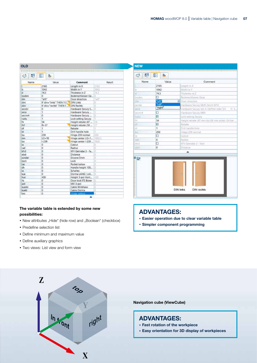Comment

| 鹂<br>ೆ  | ۹,<br>E                            |                      |        |    |
|---------|------------------------------------|----------------------|--------|----|
| Name    | Value                              | Comment              | Result |    |
| t       | 2165                               | Length in X          | 2165   |    |
| ь       | 1042                               | Width in Y           | 1042   |    |
| d       | 74.3                               | Thickness in Z       | 743    |    |
| boden   | O.                                 | Bodenschliesser Ge   | α      |    |
| din     | "lett"                             | Door direction       | "left" |    |
| dini    | IF din="links" THEN 1 E DIN Links  |                      | ö.     |    |
| dinn    | IF din="rechts" THEN 1  DIN Rechts |                      | ö      |    |
| secsbr  | 0                                  | Hardware Secury S    | ō      |    |
| seca    | ï                                  | Hardware Secury      | ۲      |    |
| secror4 | Ö                                  | Hardware Secury      | Ō.     |    |
| rustu   | ۹                                  | Lock setting Secury  | Ŧ      |    |
| fb.     | 54                                 | Height rebate (47    | 54     |    |
| fh1     | $fh-37$                            | Height rebate (10    | 17     |    |
| ďf      | 1                                  | Rebate               | t      |    |
| dr      | 1.                                 | Drill handle hole    | t      |    |
| bu      | 259                                | Hinge 259 normal     | 259    |    |
| bm      | $1/2 + 10$                         | Hinge center I/2+1_  | 1092.5 |    |
| bo      | $1 - 239$                          | Hinge center I-239.  | 1926   |    |
| la      | 0                                  | Cutout               | ő.     |    |
| raid    | ō                                  | Radius               | ō      |    |
| kfv3    | 0                                  | KFV Getriebe 3 - fa. | ö      |    |
| abst    | 0                                  | Distance             | o      |    |
| sonder  | ₿                                  | Groove Smm.          | ġ      | ≥⊘ |
| bsch    | ٥                                  | Lock                 | ö      |    |
| tas     | 0                                  | Pocket below         | ö      |    |
| dh      | ٥                                  | Handle height 105    | ò      |    |
| SX.     | 0                                  | Schallex             | ô      |    |
| kue     | 0                                  | Dorma LANG ( onl     | Ō.     |    |
| hue     | 430                                | Height 3-pol Kont    | 430    |    |
| its.    | 0                                  | Door lock ITS Boxer  | O.     |    |
| pol     | ٥                                  | Mill 3-pol           | ŭ      |    |
| kuesty  | 0                                  | Cable Winkhaus       | ó      |    |
| kuekt   | 0                                  | Cable Dorma          | U      |    |
| bss:    | ö                                  | Hinge setting        |        |    |

| 35  |     |  |                  |  |
|-----|-----|--|------------------|--|
|     |     |  |                  |  |
| ni  |     |  |                  |  |
|     | 430 |  |                  |  |
| xer |     |  |                  |  |
|     |     |  |                  |  |
|     |     |  |                  |  |
|     |     |  | <b>DIN links</b> |  |
|     |     |  |                  |  |
|     |     |  |                  |  |

○ 呼

boden

secibi

seci secrit4

Name

開 編

2165

1042

743

<sup>m</sup>eft<br>Teft

**Tright** 

ō

**FI** 

 $54$ 

E

1

lo

o

 $\circ$ 

259 'n

o

Value

Length in X

Width in Y

Rebate Drill handle hole

Cutout

Radius

Distance ٠

Thickness in Z

Door direction

Bodenschliesser Geze

Hardware Secury MR4

Lock setting Secury

Hinge 259 normal

KFV Getriebe 3 - fach

DIN rechts

Aindiware Secury SB/R (Nicht KFV)

lardware Secury mit A-Oeffner oder SH

Height rebate (47 mm bis 68 mm dicke) (54 be

#### The variable table is extended by some new possibilities:

- New attributes "Hide" (hide row) and "Boolean" (checkbox)
- · Predefine selection list
- · Define minimum and maximum value
- · Define auxiliary graphics
- · Two views: List view and form view

#### ADVANTAGES:

- · Easier operation due to clear variable table
- · Simpler component programming



#### Navigation cube (ViewCube)

- · Fast rotation of the workpiece
- · Easy orientation for 3D display of workpieces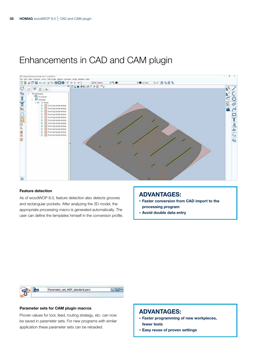## Enhancements in CAD and CAM plugin



#### Feature detection

As of woodWOP 8.0, feature detection also detects grooves and rectangular pockets. After analyzing the 3D model, the appropriate processing macro is generated automatically. The user can define the templates himself in the conversion profile.

#### ADVANTAGES:

- · Faster conversion from CAD import to the processing program
- · Avoid double data entry



#### Parameter sets for CAM plugin macros

Proven values for tool, feed, routing strategy, etc. can now be saved in parameter sets. For new programs with similar application these parameter sets can be reloaded.

- · Faster programming of new workpieces, fewer tests
- · Easy reuse of proven settings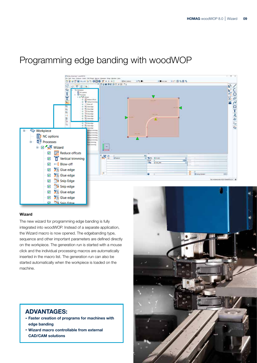## Programming edge banding with woodWOP



#### Wizard

The new wizard for programming edge banding is fully integrated into woodWOP. Instead of a separate application, the Wizard macro is now opened. The edgebanding type, sequence and other important parameters are defined directly on the workpiece. The generation run is started with a mouse click and the individual processing macros are automatically inserted in the macro list. The generation run can also be started automatically when the workpiece is loaded on the machine.

- · Faster creation of programs for machines with edge banding
- · Wizard macro controllable from external CAD/CAM solutions

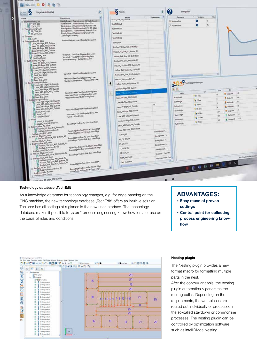| ş<br>Regelwerkbibliothek                                                                    |                                                                                          | ٧  | S <sub>Regeln</sub>               |                         | ? | tedogangen         |                      |            |                     |                   |
|---------------------------------------------------------------------------------------------|------------------------------------------------------------------------------------------|----|-----------------------------------|-------------------------|---|--------------------|----------------------|------------|---------------------|-------------------|
| Narne                                                                                       | Konsmertsr                                                                               | w. | Name                              | Kommentar               |   | <b>Geometria</b>   | Terplech             | <b>Net</b> |                     |                   |
| <b>Elizabbinyning CW</b>                                                                    | <b>Eundichiltom / Flushtrimming CW (ABS-https)</b>                                       |    | WWW.VINE.FRC.VARINT               |                         |   | Actionador         | $\bullet$<br>W.      |            |                     |                   |
| FT CW_002                                                                                   | Bundigfrissen / Flushtrimming Spitze Ecke                                                |    | Test/RMRule4                      |                         |   | Si Automobile      | ø<br>Z)              |            |                     |                   |
| FT_CW_001<br>E Flushtrimming CCW                                                            | Bündigfräsen / Fluchtrimming Stumpfe Ecke<br>Bündigfräsen / Flushtrienming CCW (PP-Edge) |    | Test RMA alu3                     |                         |   |                    |                      |            |                     |                   |
| FT_CCW_001                                                                                  | Bündigfräsen / Flushtrimming Stumpfe Ecke<br>Bündighissen / Flushtrimming Spitze Ecke    |    | Test RIVRule2                     |                         |   |                    |                      |            |                     |                   |
| S Scraping<br>E7 2K,001                                                                     | Ziehklinge / Straping                                                                    |    | Test PMRule                       |                         |   |                    |                      |            |                     |                   |
| Edgebanding PP_Edge                                                                         | Standard Leimen Laser / Edgebanding Laser                                                |    | <b>Stock Liver</b>                |                         |   |                    |                      |            |                     |                   |
| U Laser PP-Edge, R30 Outside<br>Lase: PP-Edge RS0_Outside                                   |                                                                                          |    | ProDuo PU Glux R30 Outside R2     |                         |   |                    |                      |            |                     |                   |
| - Laser PP-Edge R60 Outside<br>Laser PP-Edge R60 Outside                                    |                                                                                          |    | ProDuo PU Glue R15 Autom R1       |                         |   |                    |                      |            |                     |                   |
| V Laser PP-Edge R30 Outside<br>Feed Start Laser                                             | Vorschub / Feed Start Edgebanding Leser<br>Varschub / Feed End Edgebanding Laser         |    | ProDuct EVA (Aux R40 Outside R3)  |                         |   |                    |                      |            |                     |                   |
| Feed, End, Laser<br>Buttbanding PP Edge                                                     | Stossverleimung / Butthanding Lister                                                     |    | ProDuo, EVA, Olux, RA) Inside, R3 |                         |   |                    |                      |            |                     |                   |
| D Laser 09-Edge, R30, Outside<br>D Laser DP-Edge, R50, Outside                              |                                                                                          |    | ProDuo EVA, Glue R30, Outside R3  |                         |   |                    |                      |            |                     |                   |
| U Laser PP-Edge R60 Outside                                                                 |                                                                                          |    | ProDuo EVA Glue #30 Outside #2    |                         |   |                    |                      |            |                     |                   |
| Laser PP-Edge R70 Outside<br>Laser PP-Edge R30 Outside                                      | Vorschub / Feed Start Edgebanding Laser                                                  |    |                                   |                         |   |                    |                      |            |                     |                   |
| Feed Start Laber<br>Stons Later                                                             | Verschub / Feed End Edgebanding Liser                                                    |    | ProDuo EVA Glue R15 Outside R1    |                         |   |                    |                      |            |                     |                   |
| P Feed End Laser<br>EdgebandingABS Edge                                                     | Standard Leimen Leser / Edgebanding Later                                                |    | ProDuo_Buttcomedian_R1            |                         |   |                    | Technologieleningen  |            |                     |                   |
| D Laver ABS-Edge R50 Outside<br>C Laser ABS-Edge R60 Outside                                |                                                                                          |    | ProDuo Airfer, R30 Outside R2     |                         |   |                    |                      |            |                     |                   |
| U Laser ABS-Edge R70 Outside                                                                |                                                                                          |    | Leser, PP-Edge, R80, Outside      |                         |   |                    |                      | Well       | Cd.                 |                   |
| Later ABS-Edge R80 Outside<br>Feed Start Laser                                              | Verschub / Feed Start Edgebanding Laser<br>Vorschub / Feed End Edgebanding Laser         |    | nin PF-Loge F.T. Outlide          |                         |   | Makre              | Ter.                 | m          | E Interio           | H¢                |
| Fred End Laser                                                                              | Stoccusteimung / Butthending Leser                                                       |    | Laver PP-Edge #60 Outside         |                         |   | Technologie        | F E-Neu              |            | <b>E.</b> Existent  | <b>VM</b>         |
| <b>Buttlending ABS Edge</b><br>7 Laser ABS-Edge R50 Outside<br>2 Laser ABS-Edge R60 Outside |                                                                                          |    | Leser_PP-Edge_R50_Outside         |                         |   | Technologie        | F F-Neu              |            | E Endpurit          | 90                |
| Laser ABS-Edge R70 Outside                                                                  |                                                                                          |    |                                   |                         |   | <b>Technologie</b> | Ty Files             |            |                     |                   |
| U Laser ABS-Edge, R80, Outside                                                              | Vorschub / Feed Start Edgebanding Lasar                                                  |    | Laos: 09-Edge Rill Outside        |                         |   |                    | p F-Neu              | ٠          | <b>b</b> Indeutil   | ы                 |
| Feed Start Laser                                                                            | Vorschub / Feed End Edgebanding Later                                                    |    | Laour PP-Edge, R30 Outside        |                         |   | <b>Technologie</b> | A M-Nes              | 394        | <b>E</b> Enlawald   |                   |
| Shoos Lacer<br>Feed End Later                                                               | Furnier / Wood-Edge                                                                      |    | Laser_ARS-Edge_RdQ_Outside        |                         |   | <b>Technologie</b> |                      | 593        | <b>P.</b> Statparkt | $-8$              |
| Weed.                                                                                       |                                                                                          |    | Lauer ABS-Edge 870 Outside        |                         |   | <b>Technologie</b> | $\frac{1}{2}$ M-Next | 15         | 2. Setparkt         | $-130$            |
| Wood V Glue Start<br>Wood Glue R40 Out<br>Weed Gius R40 Outside                             | PowerEdge ProDuo PU-Glue 1mm Edge                                                        |    | Laser AdS-Edge_R60_Cutside        |                         |   | <b>Schneizge</b>   | FF-Next              |            |                     |                   |
| ProDuo Glue PU 1mm<br>ProDuo PU Glue R15 Austen R1                                          | PowerEdge ProDue PU-Glue 1 Smm Edge                                                      |    | Later_ABS-Edge_R10_Outside        |                         |   |                    |                      |            |                     |                   |
| ProDuo Glue PU_1.5mm                                                                        | PewerEdge ProDuc PU-Slue Imm Edge                                                        |    |                                   | Bündigfzitten/          |   |                    |                      |            |                     |                   |
| ProDuo Glue PU Zmm<br>D ProDue PU Clue R30 Outside R2                                       | PowerEdge ProDuc PU-Glue Snow Edge                                                       |    | ET_CW_OXI                         | Bandighteen / -         |   |                    |                      |            |                     |                   |
| ProDug Glue PU 3mm                                                                          | PowerEdge ProDuc EVA-Glue 1mm Edge                                                       |    | FT_CW_001jmm                      | Bundighteen / -         |   |                    |                      |            |                     |                   |
| ProDuo Glue EVA Imm<br>ProDuo EVA Glue R15 Outside R1                                       | PowerEdge ProDuo Esti-Clue 1.5min Edge                                                   |    | FT_CW_001                         | Bundisfraton / -        |   |                    |                      |            |                     |                   |
| ProDue Butkonschon R1<br>ProDuo, Glue, EVA, 1.5mm                                           | PowerEdge ProDuo EVA-Glue 2mm Edge                                                       |    | FT_CCW_002                        | biedglosen /            |   |                    |                      |            |                     |                   |
| ProDuo Glue IVA 2mm<br>E ProDuo EVA Glue R30 Outside R2                                     | PowerEdge ProDuc EVA-Glue Imm Edge                                                       |    | FT_CCW_001                        | Versichult / Feed Stat. |   |                    |                      |            |                     |                   |
| ProDuo Glue Fua 3mm                                                                         |                                                                                          |    | Feed_Start_Laser                  | Vocachule / Feed End.   |   |                    |                      |            |                     | M2 C/MACHINECOHNE |
| ProDuo FVA Gue Rai Inside R3<br>ProDuo FVA Gue Rai Outside R3                               | PowerEdge ProDuo AirTec Imm Edge                                                         |    | Feed End Laser                    |                         |   |                    |                      |            |                     |                   |
| ProDuo EVA Glue R30 Outside R3                                                              |                                                                                          |    |                                   |                         |   |                    | <b>DENHMSSO</b>      |            |                     |                   |
| ProDuo AirTec, Invin<br>ProDuo Buttcomethon R1<br>ProDuo Airfec 1.5mm                       | PowerEdge ProDuct AirTac 1.5mm Edge<br>PowerEdge ProDuo Airles 2nom Edge                 |    |                                   |                         |   |                    |                      |            |                     |                   |
| ProDuo Airlec Zmm                                                                           |                                                                                          |    |                                   |                         |   |                    |                      |            |                     |                   |

#### Technology database "TechEdit

10

**Lenin** 

 $-1.00000$ 

As a knowledge database for technology changes, e.g. for edge banding on the CNC machine, the new technology database "TechEdit" offers an intuitive solution. The user has all settings at a glance in the new user interface. The technology database makes it possible to "store" process engineering know-how for later use on the basis of rules and conditions.

#### ADVANTAGES:

- · Easy reuse of proven settings
- · Central point for collecting process engineering knowhow



#### Nesting plugin

The Nesting plugin provides a new format macro for formatting multiple parts in the nest.

After the contour analysis, the nesting plugin automatically generates the routing paths. Depending on the requirements, the workpieces are routed out individually or processed in the so-called staydown or commonline processes. The nesting plugin can be controlled by optimization software such as intelliDivide Nesting.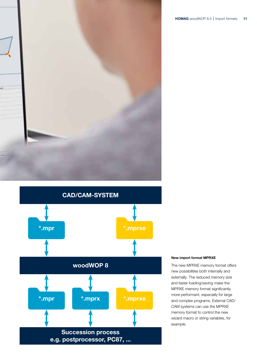



New import format MPRXE

The new MPRXE memory format offers new possibilities both internally and externally. The reduced memory size and faster loading/saving make the MPRXE memory format significantly more performant, especially for large and complex programs. External CAD/ CAM systems can use the MPRXE memory format to control the new wizard macro or string variables, for example.